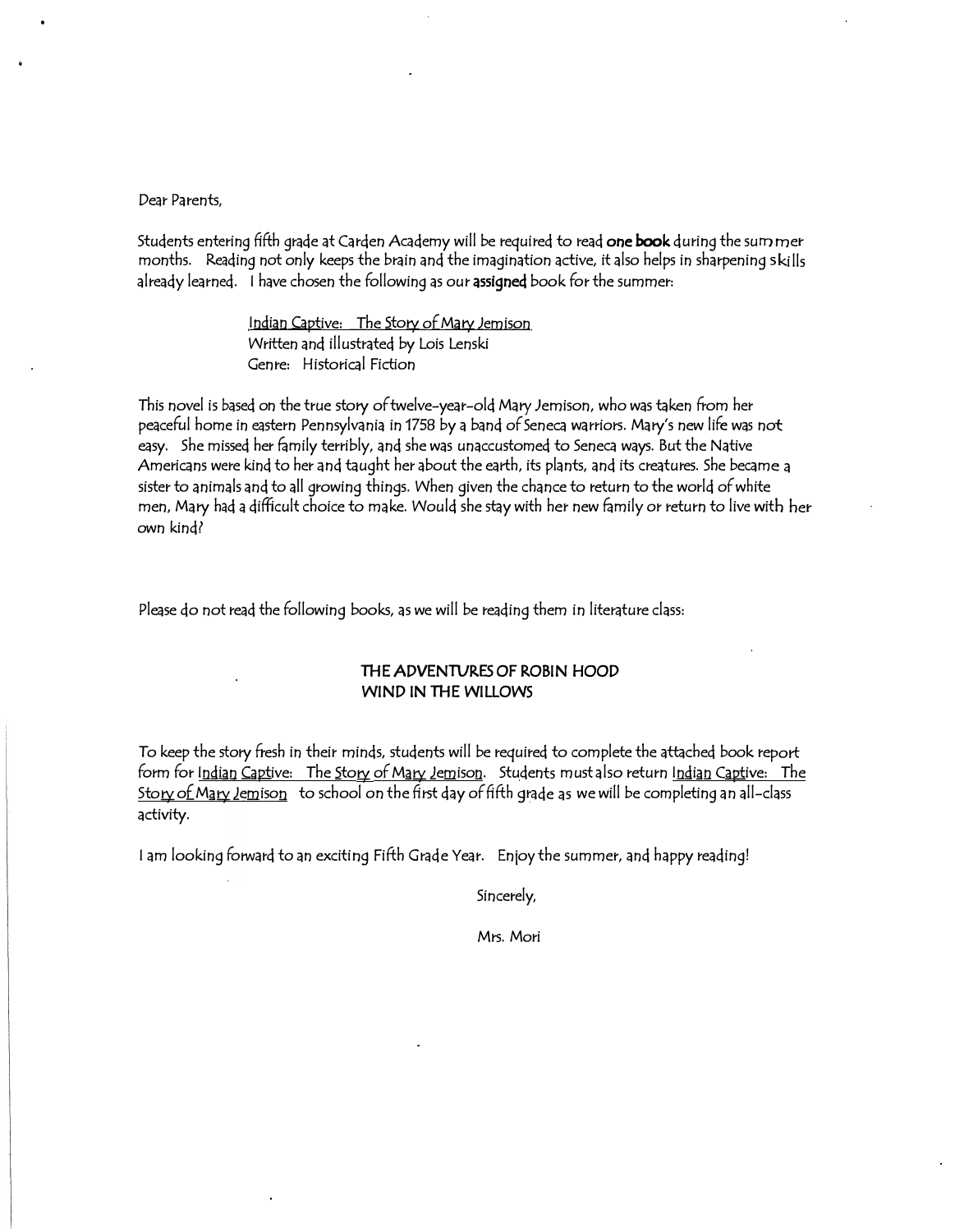Dear Parents,

Students entering fifth grade at Carden Academy will be required to read one book during the sum mer months. Reading not only keeps the brain and the imagination active, it also helps in sharpening skills already learned. I have chosen the following as our assigned book for the summer:

> Indian Captive: The Story of Mary Jemison Written and illustrated by Lois Lenski Genre: Historical Fiction

This novel is based on the true story of twelve-year-old Mary Jemison, who was taken from her peaceful home in eastern Pennsylvania in 1758 by a band of Seneca warriors. Mary's new life was not easy. She missed her family terribly, and she was unaccustomed to Seneca ways. But the Native Americans were kind to her and taught her about the earth, its plants, and its creatures. She became a sister to animals and to all growing things. When given the chance to return to the world of white men, Mary had a difficult choice to make. Would she stay with her new family or return to live with her own kind?

Please do not read the following books, as we will be reading them in literature class:

#### THE ADVENTURES OF ROBIN HOOD WIND IN THE WILLOWS

To keep the story fresh in their minds, students will be required to complete the attached book report form for Indian Captive: The Story of Mary Jemison. Students must also return Indian Captive: The Story of Mary lemison to school on the first day of fifth grade as we will be completing an all-class activity.

I am looking forward to an exciting Fifth Grade Year. Enjoy the summer, and happy reading!

Sincerely,

Mrs. Mori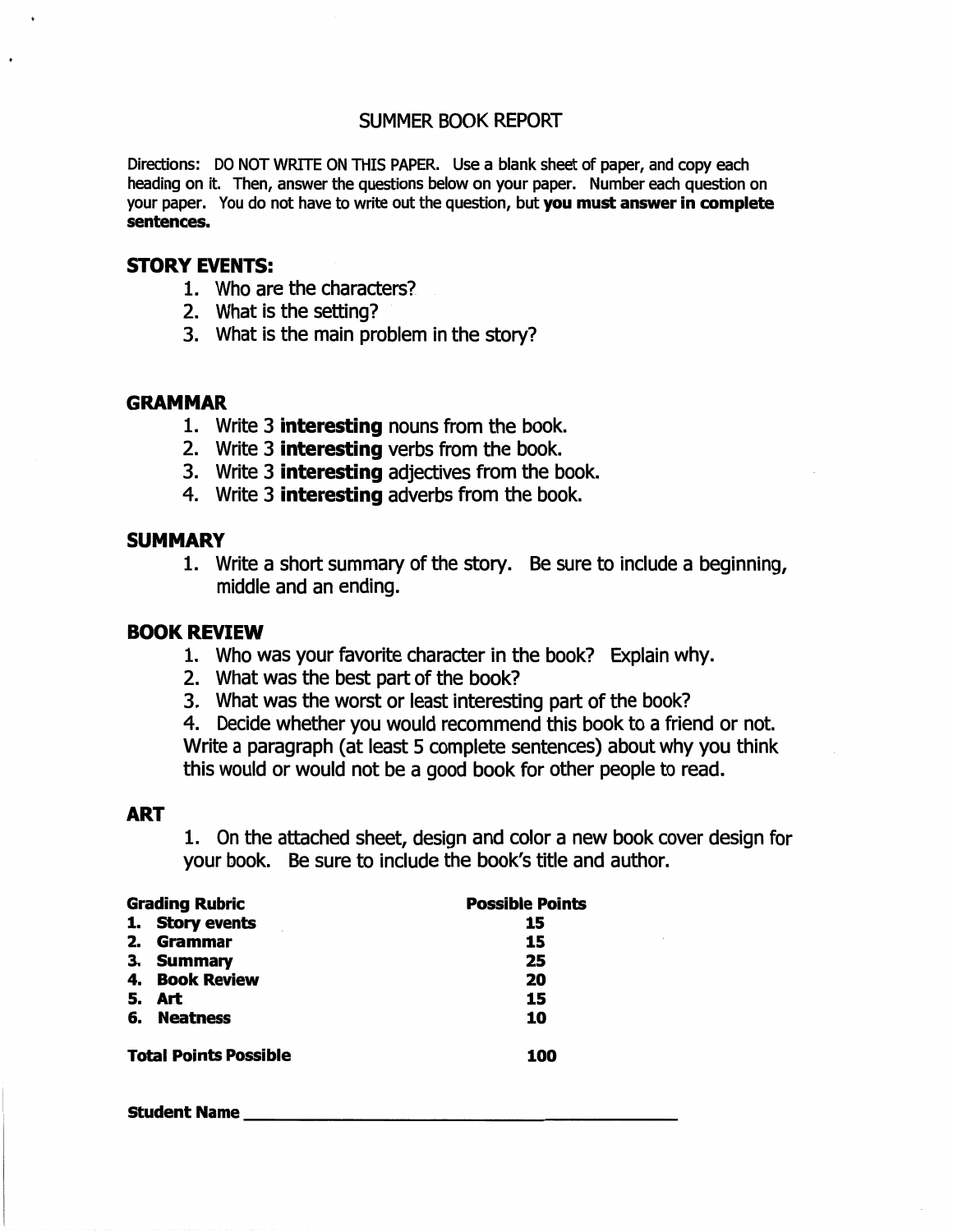## **SUMMER BOOK REPORT**

Directions: DO NOT WRITE ON THIS PAPER. Use a blank sheet of paper, and copy each heading on it. Then, answer the questions below on your paper. Number each question on your paper. You do not have to write out the question, but you must answer in complete sentences.

#### **STORY EVENTS:**

- 1. Who are the characters?
- 2. What is the setting?
- 3. What is the main problem in the story?

#### **GRAMMAR**

- 1. Write 3 **interesting** nouns from the book.
- 2. Write 3 **interesting** verbs from the book.
- 3. Write 3 **interesting** adjectives from the book.
- 4. Write 3 interesting adverbs from the book.

#### **SUMMARY**

1. Write a short summary of the story. Be sure to include a beginning, middle and an ending.

#### **BOOK REVIEW**

- 1. Who was your favorite character in the book? Explain why.
- 2. What was the best part of the book?
- 3. What was the worst or least interesting part of the book?

4. Decide whether you would recommend this book to a friend or not. Write a paragraph (at least 5 complete sentences) about why you think this would or would not be a good book for other people to read.

### **ART**

1. On the attached sheet, design and color a new book cover design for your book. Be sure to include the book's title and author.

|    | <b>Possible Points</b><br><b>Grading Rubric</b><br>15<br>15<br>25<br>20<br>15<br>10<br>100 |  |
|----|--------------------------------------------------------------------------------------------|--|
|    | 1. Story events                                                                            |  |
| 2. | Grammar                                                                                    |  |
|    | 3. Summary                                                                                 |  |
|    | 4. Book Review                                                                             |  |
| 5. | <b>Art</b>                                                                                 |  |
|    | 6. Neatness                                                                                |  |
|    | <b>Total Points Possible</b>                                                               |  |

**Student Name**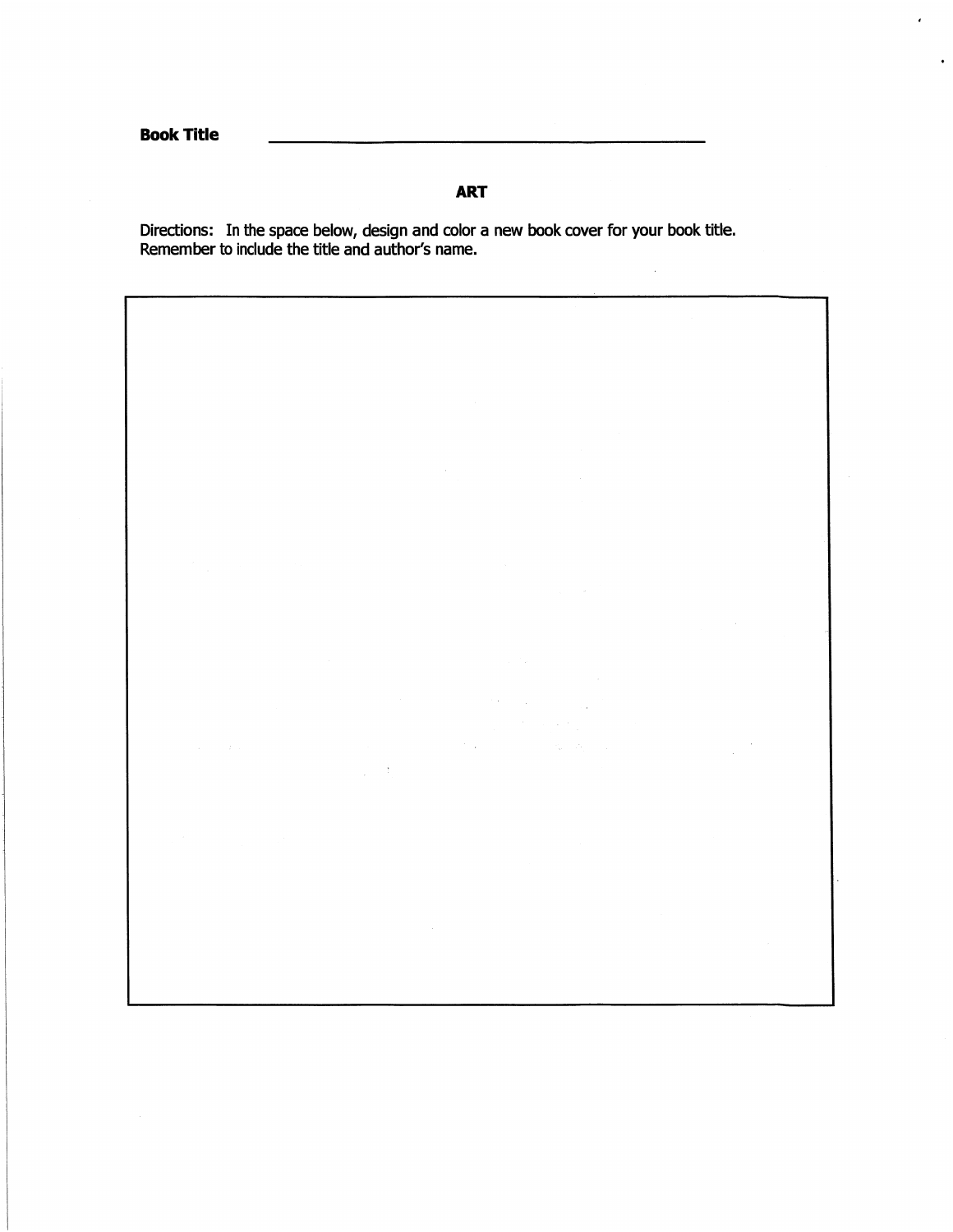# **ART**

Directions: In the space below, design and color a new book cover for your book title.<br>Remember to include the title and author's name.